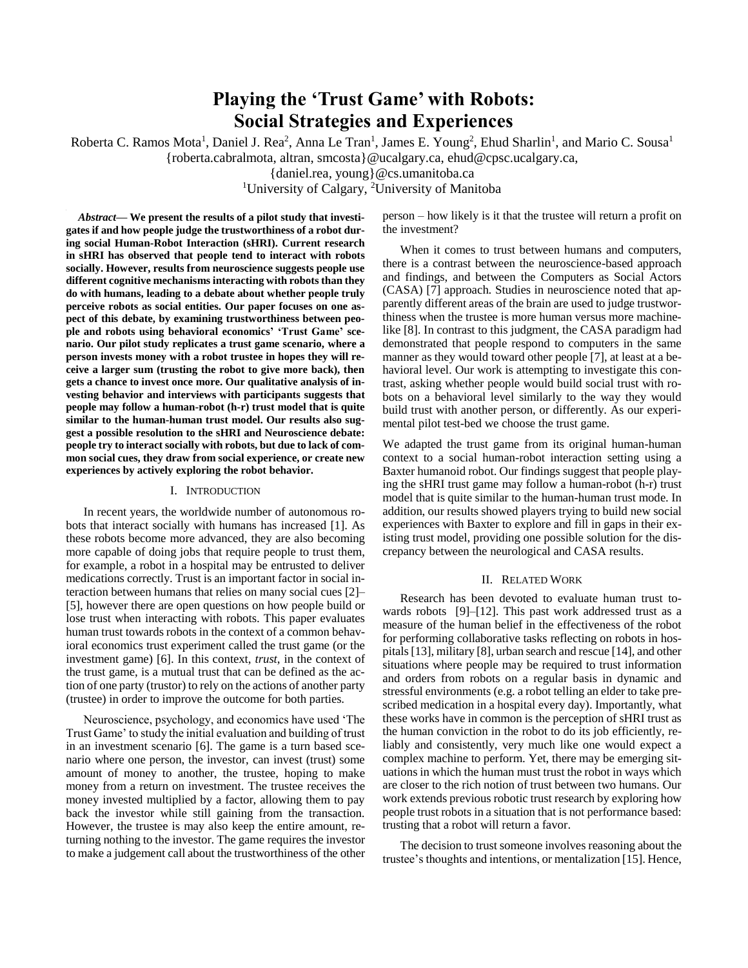# **Playing the 'Trust Game' with Robots: Social Strategies and Experiences**

Roberta C. Ramos Mota<sup>1</sup>, Daniel J. Rea<sup>2</sup>, Anna Le Tran<sup>1</sup>, James E. Young<sup>2</sup>, Ehud Sharlin<sup>1</sup>, and Mario C. Sousa<sup>1</sup>

{roberta.cabralmota, altran, smcosta}@ucalgary.ca, ehud@cpsc.ucalgary.ca,

{daniel.rea, young}@cs.umanitoba.ca

<sup>1</sup>University of Calgary, <sup>2</sup>University of Manitoba

*Abstract***— We present the results of a pilot study that investigates if and how people judge the trustworthiness of a robot during social Human-Robot Interaction (sHRI). Current research in sHRI has observed that people tend to interact with robots socially. However, results from neuroscience suggests people use different cognitive mechanisms interacting with robots than they do with humans, leading to a debate about whether people truly perceive robots as social entities. Our paper focuses on one aspect of this debate, by examining trustworthiness between people and robots using behavioral economics' 'Trust Game' scenario. Our pilot study replicates a trust game scenario, where a person invests money with a robot trustee in hopes they will receive a larger sum (trusting the robot to give more back), then gets a chance to invest once more. Our qualitative analysis of investing behavior and interviews with participants suggests that people may follow a human-robot (h-r) trust model that is quite similar to the human-human trust model. Our results also suggest a possible resolution to the sHRI and Neuroscience debate: people try to interact socially with robots, but due to lack of common social cues, they draw from social experience, or create new experiences by actively exploring the robot behavior.**

# I. INTRODUCTION

In recent years, the worldwide number of autonomous robots that interact socially with humans has increased [1]. As these robots become more advanced, they are also becoming more capable of doing jobs that require people to trust them, for example, a robot in a hospital may be entrusted to deliver medications correctly. Trust is an important factor in social interaction between humans that relies on many social cues [2]– [5], however there are open questions on how people build or lose trust when interacting with robots. This paper evaluates human trust towards robots in the context of a common behavioral economics trust experiment called the trust game (or the investment game) [6]. In this context, *trust*, in the context of the trust game, is a mutual trust that can be defined as the action of one party (trustor) to rely on the actions of another party (trustee) in order to improve the outcome for both parties.

Neuroscience, psychology, and economics have used 'The Trust Game' to study the initial evaluation and building of trust in an investment scenario [6]. The game is a turn based scenario where one person, the investor, can invest (trust) some amount of money to another, the trustee, hoping to make money from a return on investment. The trustee receives the money invested multiplied by a factor, allowing them to pay back the investor while still gaining from the transaction. However, the trustee is may also keep the entire amount, returning nothing to the investor. The game requires the investor to make a judgement call about the trustworthiness of the other person – how likely is it that the trustee will return a profit on the investment?

When it comes to trust between humans and computers, there is a contrast between the neuroscience-based approach and findings, and between the Computers as Social Actors (CASA) [7] approach. Studies in neuroscience noted that apparently different areas of the brain are used to judge trustworthiness when the trustee is more human versus more machinelike [8]. In contrast to this judgment, the CASA paradigm had demonstrated that people respond to computers in the same manner as they would toward other people [7], at least at a behavioral level. Our work is attempting to investigate this contrast, asking whether people would build social trust with robots on a behavioral level similarly to the way they would build trust with another person, or differently. As our experimental pilot test-bed we choose the trust game.

We adapted the trust game from its original human-human context to a social human-robot interaction setting using a Baxter humanoid robot. Our findings suggest that people playing the sHRI trust game may follow a human-robot (h-r) trust model that is quite similar to the human-human trust mode. In addition, our results showed players trying to build new social experiences with Baxter to explore and fill in gaps in their existing trust model, providing one possible solution for the discrepancy between the neurological and CASA results.

### II. RELATED WORK

Research has been devoted to evaluate human trust towards robots [9]–[12]. This past work addressed trust as a measure of the human belief in the effectiveness of the robot for performing collaborative tasks reflecting on robots in hospitals[13], military [8], urban search and rescue [14], and other situations where people may be required to trust information and orders from robots on a regular basis in dynamic and stressful environments (e.g. a robot telling an elder to take prescribed medication in a hospital every day). Importantly, what these works have in common is the perception of sHRI trust as the human conviction in the robot to do its job efficiently, reliably and consistently, very much like one would expect a complex machine to perform. Yet, there may be emerging situations in which the human must trust the robot in ways which are closer to the rich notion of trust between two humans. Our work extends previous robotic trust research by exploring how people trust robots in a situation that is not performance based: trusting that a robot will return a favor.

The decision to trust someone involves reasoning about the trustee's thoughts and intentions, or mentalization [15]. Hence,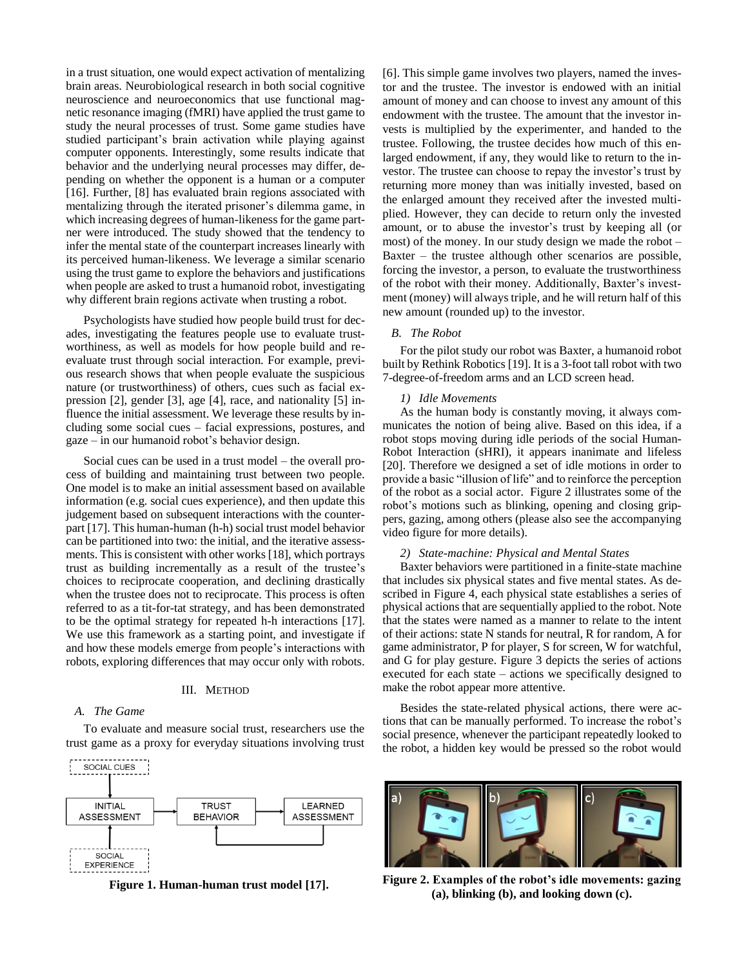in a trust situation, one would expect activation of mentalizing brain areas. Neurobiological research in both social cognitive neuroscience and neuroeconomics that use functional magnetic resonance imaging (fMRI) have applied the trust game to study the neural processes of trust. Some game studies have studied participant's brain activation while playing against computer opponents. Interestingly, some results indicate that behavior and the underlying neural processes may differ, depending on whether the opponent is a human or a computer [16]. Further, [8] has evaluated brain regions associated with mentalizing through the iterated prisoner's dilemma game, in which increasing degrees of human-likeness for the game partner were introduced. The study showed that the tendency to infer the mental state of the counterpart increases linearly with its perceived human-likeness. We leverage a similar scenario using the trust game to explore the behaviors and justifications when people are asked to trust a humanoid robot, investigating why different brain regions activate when trusting a robot.

Psychologists have studied how people build trust for decades, investigating the features people use to evaluate trustworthiness, as well as models for how people build and reevaluate trust through social interaction. For example, previous research shows that when people evaluate the suspicious nature (or trustworthiness) of others, cues such as facial expression [2], gender [3], age [4], race, and nationality [5] influence the initial assessment. We leverage these results by including some social cues – facial expressions, postures, and gaze – in our humanoid robot's behavior design.

Social cues can be used in a trust model – the overall process of building and maintaining trust between two people. One model is to make an initial assessment based on available information (e.g. social cues experience), and then update this judgement based on subsequent interactions with the counterpart [17]. This human-human (h-h) social trust model behavior can be partitioned into two: the initial, and the iterative assessments. This is consistent with other works [18], which portrays trust as building incrementally as a result of the trustee's choices to reciprocate cooperation, and declining drastically when the trustee does not to reciprocate. This process is often referred to as a tit-for-tat strategy, and has been demonstrated to be the optimal strategy for repeated h-h interactions [17]. We use this framework as a starting point, and investigate if and how these models emerge from people's interactions with robots, exploring differences that may occur only with robots.

#### III. METHOD

#### *A. The Game*

To evaluate and measure social trust, researchers use the trust game as a proxy for everyday situations involving trust



<span id="page-1-1"></span>**Figure 1. Human-human trust model [17].**

[6]. This simple game involves two players, named the investor and the trustee. The investor is endowed with an initial amount of money and can choose to invest any amount of this endowment with the trustee. The amount that the investor invests is multiplied by the experimenter, and handed to the trustee. Following, the trustee decides how much of this enlarged endowment, if any, they would like to return to the investor. The trustee can choose to repay the investor's trust by returning more money than was initially invested, based on the enlarged amount they received after the invested multiplied. However, they can decide to return only the invested amount, or to abuse the investor's trust by keeping all (or most) of the money. In our study design we made the robot – Baxter – the trustee although other scenarios are possible, forcing the investor, a person, to evaluate the trustworthiness of the robot with their money. Additionally, Baxter's investment (money) will always triple, and he will return half of this new amount (rounded up) to the investor.

#### *B. The Robot*

For the pilot study our robot was Baxter, a humanoid robot built by Rethink Robotics [19]. It is a 3-foot tall robot with two 7-degree-of-freedom arms and an LCD screen head.

#### *1) Idle Movements*

As the human body is constantly moving, it always communicates the notion of being alive. Based on this idea, if a robot stops moving during idle periods of the social Human-Robot Interaction (sHRI), it appears inanimate and lifeless [20]. Therefore we designed a set of idle motions in order to provide a basic "illusion of life" and to reinforce the perception of the robot as a social actor. [Figure 2](#page-1-0) illustrates some of the robot's motions such as blinking, opening and closing grippers, gazing, among others (please also see the accompanying video figure for more details).

#### *2) State-machine: Physical and Mental States*

Baxter behaviors were partitioned in a finite-state machine that includes six physical states and five mental states. As described in [Figure 4,](#page-2-0) each physical state establishes a series of physical actions that are sequentially applied to the robot. Note that the states were named as a manner to relate to the intent of their actions: state N stands for neutral, R for random, A for game administrator, P for player, S for screen, W for watchful, and G for play gesture. [Figure 3](#page-2-1) depicts the series of actions executed for each state – actions we specifically designed to make the robot appear more attentive.

Besides the state-related physical actions, there were actions that can be manually performed. To increase the robot's social presence, whenever the participant repeatedly looked to the robot, a hidden key would be pressed so the robot would



<span id="page-1-0"></span>**Figure 2. Examples of the robot's idle movements: gazing (a), blinking (b), and looking down (c).**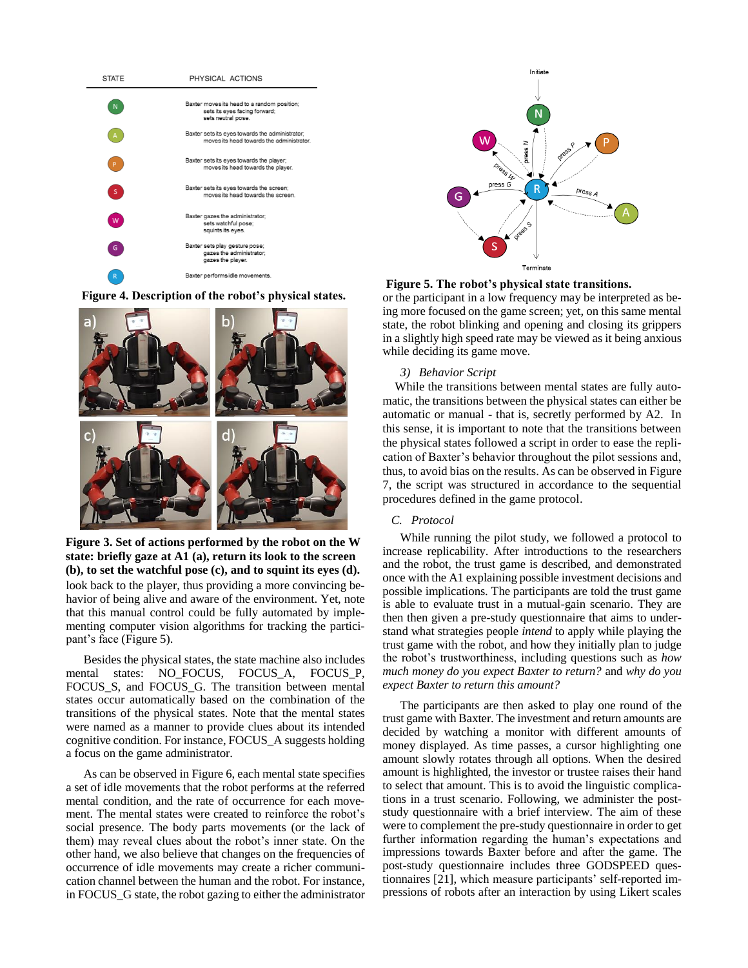

# <span id="page-2-0"></span>**Figure 4. Description of the robot's physical states.**



<span id="page-2-1"></span>look back to the player, thus providing a more convincing behavior of being alive and aware of the environment. Yet, note that this manual control could be fully automated by implementing computer vision algorithms for tracking the participant's face [\(Figure 5\)](#page-2-2). **Figure 3. Set of actions performed by the robot on the W state: briefly gaze at A1 (a), return its look to the screen (b), to set the watchful pose (c), and to squint its eyes (d).**

Besides the physical states, the state machine also includes mental states: NO\_FOCUS, FOCUS\_A, FOCUS\_P, FOCUS\_S, and FOCUS\_G. The transition between mental states occur automatically based on the combination of the transitions of the physical states. Note that the mental states were named as a manner to provide clues about its intended cognitive condition. For instance, FOCUS\_A suggests holding a focus on the game administrator.

As can be observed in [Figure 6,](#page-3-0) each mental state specifies a set of idle movements that the robot performs at the referred mental condition, and the rate of occurrence for each movement. The mental states were created to reinforce the robot's social presence. The body parts movements (or the lack of them) may reveal clues about the robot's inner state. On the other hand, we also believe that changes on the frequencies of occurrence of idle movements may create a richer communication channel between the human and the robot. For instance, in FOCUS\_G state, the robot gazing to either the administrator



<span id="page-2-2"></span>**Figure 5. The robot's physical state transitions.**

or the participant in a low frequency may be interpreted as being more focused on the game screen; yet, on this same mental state, the robot blinking and opening and closing its grippers in a slightly high speed rate may be viewed as it being anxious while deciding its game move.

#### *3) Behavior Script*

While the transitions between mental states are fully automatic, the transitions between the physical states can either be automatic or manual - that is, secretly performed by A2. In this sense, it is important to note that the transitions between the physical states followed a script in order to ease the replication of Baxter's behavior throughout the pilot sessions and, thus, to avoid bias on the results. As can be observed in [Figure](#page-3-1)  [7,](#page-3-1) the script was structured in accordance to the sequential procedures defined in the game protocol.

#### *C. Protocol*

While running the pilot study, we followed a protocol to increase replicability. After introductions to the researchers and the robot, the trust game is described, and demonstrated once with the A1 explaining possible investment decisions and possible implications. The participants are told the trust game is able to evaluate trust in a mutual-gain scenario. They are then then given a pre-study questionnaire that aims to understand what strategies people *intend* to apply while playing the trust game with the robot, and how they initially plan to judge the robot's trustworthiness, including questions such as *how much money do you expect Baxter to return?* and *why do you expect Baxter to return this amount?*

The participants are then asked to play one round of the trust game with Baxter. The investment and return amounts are decided by watching a monitor with different amounts of money displayed. As time passes, a cursor highlighting one amount slowly rotates through all options. When the desired amount is highlighted, the investor or trustee raises their hand to select that amount. This is to avoid the linguistic complications in a trust scenario. Following, we administer the poststudy questionnaire with a brief interview. The aim of these were to complement the pre-study questionnaire in order to get further information regarding the human's expectations and impressions towards Baxter before and after the game. The post-study questionnaire includes three GODSPEED questionnaires [21], which measure participants' self-reported impressions of robots after an interaction by using Likert scales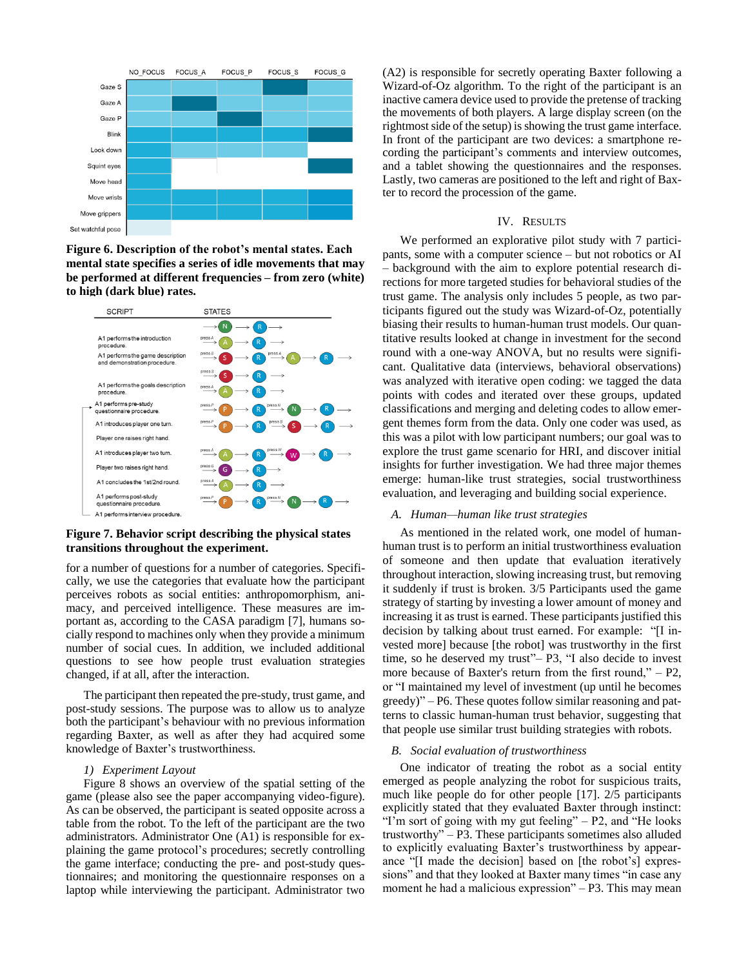

<span id="page-3-0"></span>**Figure 6. Description of the robot's mental states. Each mental state specifies a series of idle movements that may be performed at different frequencies – from zero (white) to high (dark blue) rates.**



<span id="page-3-1"></span>**Figure 7. Behavior script describing the physical states transitions throughout the experiment.**

for a number of questions for a number of categories. Specifically, we use the categories that evaluate how the participant perceives robots as social entities: anthropomorphism, animacy, and perceived intelligence. These measures are important as, according to the CASA paradigm [7], humans socially respond to machines only when they provide a minimum number of social cues. In addition, we included additional questions to see how people trust evaluation strategies changed, if at all, after the interaction.

The participant then repeated the pre-study, trust game, and post-study sessions. The purpose was to allow us to analyze both the participant's behaviour with no previous information regarding Baxter, as well as after they had acquired some knowledge of Baxter's trustworthiness.

#### *1) Experiment Layout*

[Figure 8](#page-4-0) shows an overview of the spatial setting of the game (please also see the paper accompanying video-figure). As can be observed, the participant is seated opposite across a table from the robot. To the left of the participant are the two administrators. Administrator One (A1) is responsible for explaining the game protocol's procedures; secretly controlling the game interface; conducting the pre- and post-study questionnaires; and monitoring the questionnaire responses on a laptop while interviewing the participant. Administrator two

(A2) is responsible for secretly operating Baxter following a Wizard-of-Oz algorithm. To the right of the participant is an inactive camera device used to provide the pretense of tracking the movements of both players. A large display screen (on the rightmost side of the setup) is showing the trust game interface. In front of the participant are two devices: a smartphone recording the participant's comments and interview outcomes, and a tablet showing the questionnaires and the responses. Lastly, two cameras are positioned to the left and right of Baxter to record the procession of the game.

## IV. RESULTS

We performed an explorative pilot study with 7 participants, some with a computer science – but not robotics or AI – background with the aim to explore potential research directions for more targeted studies for behavioral studies of the trust game. The analysis only includes 5 people, as two participants figured out the study was Wizard-of-Oz, potentially biasing their results to human-human trust models. Our quantitative results looked at change in investment for the second round with a one-way ANOVA, but no results were significant. Qualitative data (interviews, behavioral observations) was analyzed with iterative open coding: we tagged the data points with codes and iterated over these groups, updated classifications and merging and deleting codes to allow emergent themes form from the data. Only one coder was used, as this was a pilot with low participant numbers; our goal was to explore the trust game scenario for HRI, and discover initial insights for further investigation. We had three major themes emerge: human-like trust strategies, social trustworthiness evaluation, and leveraging and building social experience.

#### *A. Human—human like trust strategies*

As mentioned in the related work, one model of humanhuman trust is to perform an initial trustworthiness evaluation of someone and then update that evaluation iteratively throughout interaction, slowing increasing trust, but removing it suddenly if trust is broken. 3/5 Participants used the game strategy of starting by investing a lower amount of money and increasing it as trust is earned. These participants justified this decision by talking about trust earned. For example: "[I invested more] because [the robot] was trustworthy in the first time, so he deserved my trust"– P3, "I also decide to invest more because of Baxter's return from the first round,"  $-$  P2, or "I maintained my level of investment (up until he becomes greedy)" – P6. These quotes follow similar reasoning and patterns to classic human-human trust behavior, suggesting that that people use similar trust building strategies with robots.

#### *B. Social evaluation of trustworthiness*

One indicator of treating the robot as a social entity emerged as people analyzing the robot for suspicious traits, much like people do for other people [17]. 2/5 participants explicitly stated that they evaluated Baxter through instinct: "I'm sort of going with my gut feeling"  $- P2$ , and "He looks" trustworthy" – P3. These participants sometimes also alluded to explicitly evaluating Baxter's trustworthiness by appearance "[I made the decision] based on [the robot's] expressions" and that they looked at Baxter many times "in case any moment he had a malicious expression" – P3. This may mean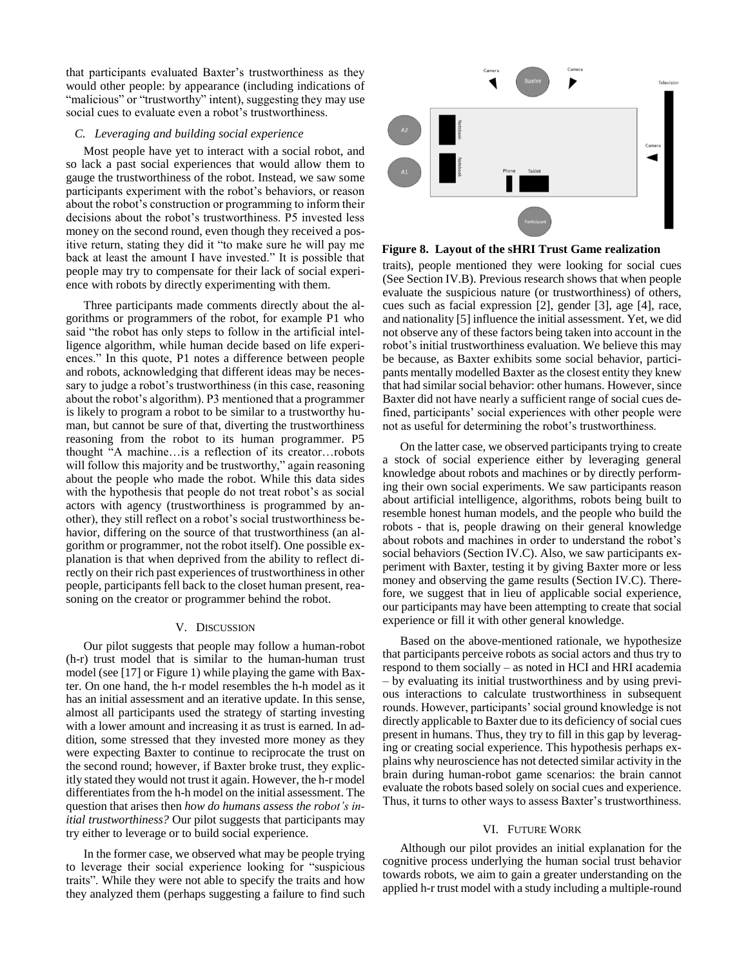that participants evaluated Baxter's trustworthiness as they would other people: by appearance (including indications of "malicious" or "trustworthy" intent), suggesting they may use social cues to evaluate even a robot's trustworthiness.

#### *C. Leveraging and building social experience*

Most people have yet to interact with a social robot, and so lack a past social experiences that would allow them to gauge the trustworthiness of the robot. Instead, we saw some participants experiment with the robot's behaviors, or reason about the robot's construction or programming to inform their decisions about the robot's trustworthiness. P5 invested less money on the second round, even though they received a positive return, stating they did it "to make sure he will pay me back at least the amount I have invested." It is possible that people may try to compensate for their lack of social experience with robots by directly experimenting with them.

Three participants made comments directly about the algorithms or programmers of the robot, for example P1 who said "the robot has only steps to follow in the artificial intelligence algorithm, while human decide based on life experiences." In this quote, P1 notes a difference between people and robots, acknowledging that different ideas may be necessary to judge a robot's trustworthiness (in this case, reasoning about the robot's algorithm). P3 mentioned that a programmer is likely to program a robot to be similar to a trustworthy human, but cannot be sure of that, diverting the trustworthiness reasoning from the robot to its human programmer. P5 thought "A machine…is a reflection of its creator…robots will follow this majority and be trustworthy," again reasoning about the people who made the robot. While this data sides with the hypothesis that people do not treat robot's as social actors with agency (trustworthiness is programmed by another), they still reflect on a robot's social trustworthiness behavior, differing on the source of that trustworthiness (an algorithm or programmer, not the robot itself). One possible explanation is that when deprived from the ability to reflect directly on their rich past experiences of trustworthiness in other people, participants fell back to the closet human present, reasoning on the creator or programmer behind the robot.

## V. DISCUSSION

Our pilot suggests that people may follow a human-robot (h-r) trust model that is similar to the human-human trust model (see [17] or [Figure 1\)](#page-1-1) while playing the game with Baxter. On one hand, the h-r model resembles the h-h model as it has an initial assessment and an iterative update. In this sense, almost all participants used the strategy of starting investing with a lower amount and increasing it as trust is earned. In addition, some stressed that they invested more money as they were expecting Baxter to continue to reciprocate the trust on the second round; however, if Baxter broke trust, they explicitly stated they would not trust it again. However, the h-r model differentiates from the h-h model on the initial assessment. The question that arises then *how do humans assess the robot's initial trustworthiness?* Our pilot suggests that participants may try either to leverage or to build social experience.

In the former case, we observed what may be people trying to leverage their social experience looking for "suspicious traits". While they were not able to specify the traits and how they analyzed them (perhaps suggesting a failure to find such



<span id="page-4-0"></span>**Figure 8. Layout of the sHRI Trust Game realization**

traits), people mentioned they were looking for social cues (See Section IV.B). Previous research shows that when people evaluate the suspicious nature (or trustworthiness) of others, cues such as facial expression [2], gender [3], age [4], race, and nationality [5] influence the initial assessment. Yet, we did not observe any of these factors being taken into account in the robot's initial trustworthiness evaluation. We believe this may be because, as Baxter exhibits some social behavior, participants mentally modelled Baxter as the closest entity they knew that had similar social behavior: other humans. However, since Baxter did not have nearly a sufficient range of social cues defined, participants' social experiences with other people were not as useful for determining the robot's trustworthiness.

On the latter case, we observed participants trying to create a stock of social experience either by leveraging general knowledge about robots and machines or by directly performing their own social experiments. We saw participants reason about artificial intelligence, algorithms, robots being built to resemble honest human models, and the people who build the robots - that is, people drawing on their general knowledge about robots and machines in order to understand the robot's social behaviors (Section IV.C). Also, we saw participants experiment with Baxter, testing it by giving Baxter more or less money and observing the game results (Section IV.C). Therefore, we suggest that in lieu of applicable social experience, our participants may have been attempting to create that social experience or fill it with other general knowledge.

Based on the above-mentioned rationale, we hypothesize that participants perceive robots as social actors and thus try to respond to them socially – as noted in HCI and HRI academia – by evaluating its initial trustworthiness and by using previous interactions to calculate trustworthiness in subsequent rounds. However, participants' social ground knowledge is not directly applicable to Baxter due to its deficiency of social cues present in humans. Thus, they try to fill in this gap by leveraging or creating social experience. This hypothesis perhaps explains why neuroscience has not detected similar activity in the brain during human-robot game scenarios: the brain cannot evaluate the robots based solely on social cues and experience. Thus, it turns to other ways to assess Baxter's trustworthiness.

#### VI. FUTURE WORK

Although our pilot provides an initial explanation for the cognitive process underlying the human social trust behavior towards robots, we aim to gain a greater understanding on the applied h-r trust model with a study including a multiple-round